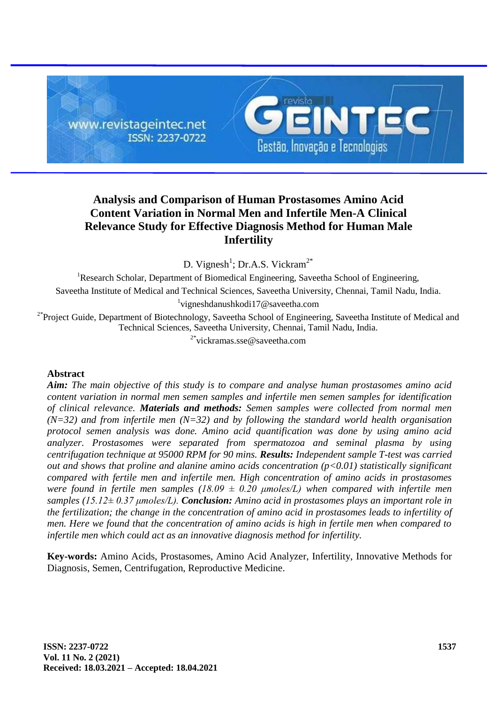

# **Analysis and Comparison of Human Prostasomes Amino Acid Content Variation in Normal Men and Infertile Men-A Clinical Relevance Study for Effective Diagnosis Method for Human Male Infertility**

D. Vignesh<sup>1</sup>; Dr.A.S. Vickram<sup>2\*</sup>

<sup>1</sup>Research Scholar, Department of Biomedical Engineering, Saveetha School of Engineering, Saveetha Institute of Medical and Technical Sciences, Saveetha University, Chennai, Tamil Nadu, India. 1 vigneshdanushkodi17@saveetha.com

<sup>2\*</sup>Project Guide, Department of Biotechnology, Saveetha School of Engineering, Saveetha Institute of Medical and Technical Sciences, Saveetha University, Chennai, Tamil Nadu, India.

<sup>2\*</sup>vickramas.sse@saveetha.com

## **Abstract**

*Aim: The main objective of this study is to compare and analyse human prostasomes amino acid content variation in normal men semen samples and infertile men semen samples for identification of clinical relevance. Materials and methods: Semen samples were collected from normal men (N=32) and from infertile men (N=32) and by following the standard world health organisation protocol semen analysis was done. Amino acid quantification was done by using amino acid analyzer. Prostasomes were separated from spermatozoa and seminal plasma by using centrifugation technique at 95000 RPM for 90 mins. Results: Independent sample T-test was carried out and shows that proline and alanine amino acids concentration (p<0.01) statistically significant compared with fertile men and infertile men. High concentration of amino acids in prostasomes were found in fertile men samples (18.09*  $\pm$  *0.20 µmoles/L) when compared with infertile men samples (15.12± 0.37 μmoles/L). Conclusion: Amino acid in prostasomes plays an important role in the fertilization; the change in the concentration of amino acid in prostasomes leads to infertility of men. Here we found that the concentration of amino acids is high in fertile men when compared to infertile men which could act as an innovative diagnosis method for infertility.*

**Key-words:** Amino Acids, Prostasomes, Amino Acid Analyzer, Infertility, Innovative Methods for Diagnosis, Semen, Centrifugation, Reproductive Medicine.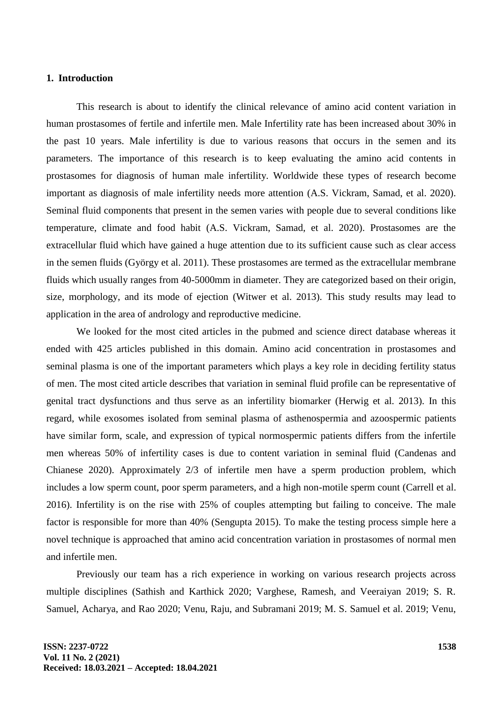## **1. Introduction**

This research is about to identify the clinical relevance of amino acid content variation in human prostasomes of fertile and infertile men. Male Infertility rate has been increased about 30% in the past 10 years. Male infertility is due to various reasons that occurs in the semen and its parameters. The importance of this research is to keep evaluating the amino acid contents in prostasomes for diagnosis of human male infertility. Worldwide these types of research become important as diagnosis of male infertility needs more attention (A.S. Vickram, Samad, et al. 2020). Seminal fluid components that present in the semen varies with people due to several conditions like temperature, climate and food habit (A.S. Vickram, Samad, et al. 2020). Prostasomes are the extracellular fluid which have gained a huge attention due to its sufficient cause such as clear access in the semen fluids (György et al. 2011). These prostasomes are termed as the extracellular membrane fluids which usually ranges from 40-5000mm in diameter. They are categorized based on their origin, size, morphology, and its mode of ejection (Witwer et al. 2013). This study results may lead to application in the area of andrology and reproductive medicine.

We looked for the most cited articles in the pubmed and science direct database whereas it ended with 425 articles published in this domain. Amino acid concentration in prostasomes and seminal plasma is one of the important parameters which plays a key role in deciding fertility status of men. The most cited article describes that variation in seminal fluid profile can be representative of genital tract dysfunctions and thus serve as an infertility biomarker (Herwig et al. 2013). In this regard, while exosomes isolated from seminal plasma of asthenospermia and azoospermic patients have similar form, scale, and expression of typical normospermic patients differs from the infertile men whereas 50% of infertility cases is due to content variation in seminal fluid (Candenas and Chianese 2020). Approximately 2/3 of infertile men have a sperm production problem, which includes a low sperm count, poor sperm parameters, and a high non-motile sperm count (Carrell et al. 2016). Infertility is on the rise with 25% of couples attempting but failing to conceive. The male factor is responsible for more than 40% (Sengupta 2015). To make the testing process simple here a novel technique is approached that amino acid concentration variation in prostasomes of normal men and infertile men.

Previously our team has a rich experience in working on various research projects across multiple disciplines (Sathish and Karthick 2020; Varghese, Ramesh, and Veeraiyan 2019; S. R. Samuel, Acharya, and Rao 2020; Venu, Raju, and Subramani 2019; M. S. Samuel et al. 2019; Venu,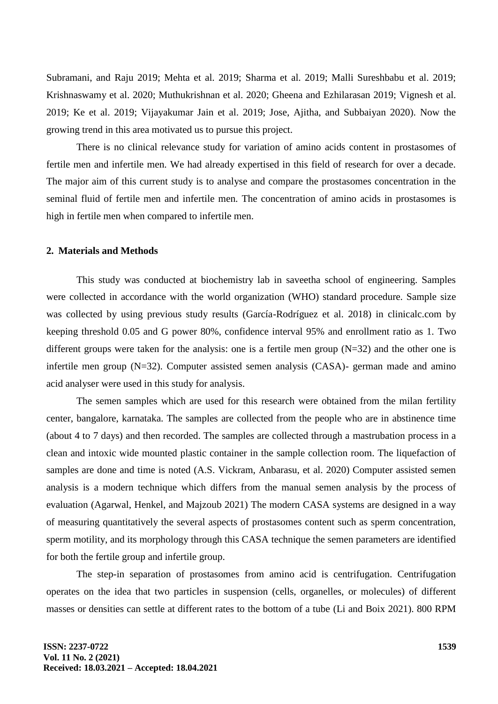Subramani, and Raju 2019; Mehta et al. 2019; Sharma et al. 2019; Malli Sureshbabu et al. 2019; Krishnaswamy et al. 2020; Muthukrishnan et al. 2020; Gheena and Ezhilarasan 2019; Vignesh et al. 2019; Ke et al. 2019; Vijayakumar Jain et al. 2019; Jose, Ajitha, and Subbaiyan 2020). Now the growing trend in this area motivated us to pursue this project.

There is no clinical relevance study for variation of amino acids content in prostasomes of fertile men and infertile men. We had already expertised in this field of research for over a decade. The major aim of this current study is to analyse and compare the prostasomes concentration in the seminal fluid of fertile men and infertile men. The concentration of amino acids in prostasomes is high in fertile men when compared to infertile men.

# **2. Materials and Methods**

This study was conducted at biochemistry lab in saveetha school of engineering. Samples were collected in accordance with the world organization (WHO) standard procedure. Sample size was collected by using previous study results (García-Rodríguez et al. 2018) in clinicalc.com by keeping threshold 0.05 and G power 80%, confidence interval 95% and enrollment ratio as 1. Two different groups were taken for the analysis: one is a fertile men group  $(N=32)$  and the other one is infertile men group (N=32). Computer assisted semen analysis (CASA)- german made and amino acid analyser were used in this study for analysis.

The semen samples which are used for this research were obtained from the milan fertility center, bangalore, karnataka. The samples are collected from the people who are in abstinence time (about 4 to 7 days) and then recorded. The samples are collected through a mastrubation process in a clean and intoxic wide mounted plastic container in the sample collection room. The liquefaction of samples are done and time is noted (A.S. Vickram, Anbarasu, et al. 2020) Computer assisted semen analysis is a modern technique which differs from the manual semen analysis by the process of evaluation (Agarwal, Henkel, and Majzoub 2021) The modern CASA systems are designed in a way of measuring quantitatively the several aspects of prostasomes content such as sperm concentration, sperm motility, and its morphology through this CASA technique the semen parameters are identified for both the fertile group and infertile group.

The step-in separation of prostasomes from amino acid is centrifugation. Centrifugation operates on the idea that two particles in suspension (cells, organelles, or molecules) of different masses or densities can settle at different rates to the bottom of a tube (Li and Boix 2021). 800 RPM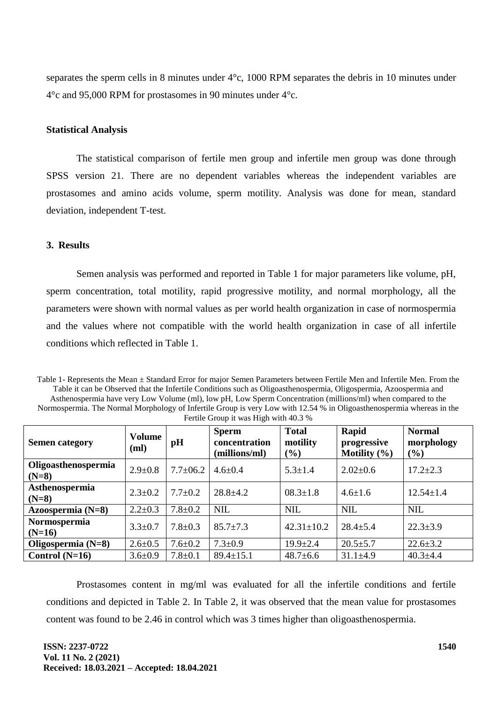separates the sperm cells in 8 minutes under 4°c, 1000 RPM separates the debris in 10 minutes under 4°c and 95,000 RPM for prostasomes in 90 minutes under 4°c.

### **Statistical Analysis**

The statistical comparison of fertile men group and infertile men group was done through SPSS version 21. There are no dependent variables whereas the independent variables are prostasomes and amino acids volume, sperm motility. Analysis was done for mean, standard deviation, independent T-test.

# **3. Results**

Semen analysis was performed and reported in Table 1 for major parameters like volume, pH, sperm concentration, total motility, rapid progressive motility, and normal morphology, all the parameters were shown with normal values as per world health organization in case of normospermia and the values where not compatible with the world health organization in case of all infertile conditions which reflected in Table 1.

Table 1- Represents the Mean  $\pm$  Standard Error for major Semen Parameters between Fertile Men and Infertile Men. From the Table it can be Observed that the Infertile Conditions such as Oligoasthenospermia, Oligospermia, Azoospermia and Asthenospermia have very Low Volume (ml), low pH, Low Sperm Concentration (millions/ml) when compared to the Normospermia. The Normal Morphology of Infertile Group is very Low with 12.54 % in Oligoasthenospermia whereas in the Fertile Group it was High with 40.3 %

| <b>Semen category</b>          | <b>Volume</b><br>(ml) | pH             | <b>Sperm</b><br>concentration<br>(millions/ml) | <b>Total</b><br>motility<br>(%) | Rapid<br>progressive<br>Motility $(\% )$ | <b>Normal</b><br>morphology<br>(%) |  |
|--------------------------------|-----------------------|----------------|------------------------------------------------|---------------------------------|------------------------------------------|------------------------------------|--|
| Oligoasthenospermia<br>$(N=8)$ | $2.9 \pm 0.8$         | $7.7 \pm 06.2$ | $4.6 \pm 0.4$                                  | $5.3 \pm 1.4$                   | $2.02 \pm 0.6$                           | $17.2 \pm 2.3$                     |  |
| Asthenospermia<br>$(N=8)$      | $2.3 \pm 0.2$         | $7.7 \pm 0.2$  | $28.8 \pm 4.2$                                 | $08.3 \pm 1.8$                  | $4.6 \pm 1.6$                            | $12.54 \pm 1.4$                    |  |
| Azoospermia $(N=8)$            | $2.2 \pm 0.3$         | $7.8 \pm 0.2$  | <b>NIL</b>                                     | <b>NIL</b>                      | <b>NIL</b>                               | <b>NIL</b>                         |  |
| Normospermia<br>$(N=16)$       | $3.3 \pm 0.7$         | $7.8 \pm 0.3$  | $85.7 \pm 7.3$                                 | $42.31 \pm 10.2$                | $28.4 \pm 5.4$                           | $22.3 \pm 3.9$                     |  |
| Oligospermia $(N=8)$           | $2.6 \pm 0.5$         | $7.6 \pm 0.2$  | $7.3 \pm 0.9$                                  | $19.9 \pm 2.4$                  | $20.5 \pm 5.7$                           | $22.6 \pm 3.2$                     |  |
| Control $(N=16)$               | $3.6 \pm 0.9$         | $7.8 \pm 0.1$  | $89.4 \pm 15.1$                                | $48.7 \pm 6.6$                  | $31.1 \pm 4.9$                           | $40.3 \pm 4.4$                     |  |

Prostasomes content in mg/ml was evaluated for all the infertile conditions and fertile conditions and depicted in Table 2. In Table 2, it was observed that the mean value for prostasomes content was found to be 2.46 in control which was 3 times higher than oligoasthenospermia.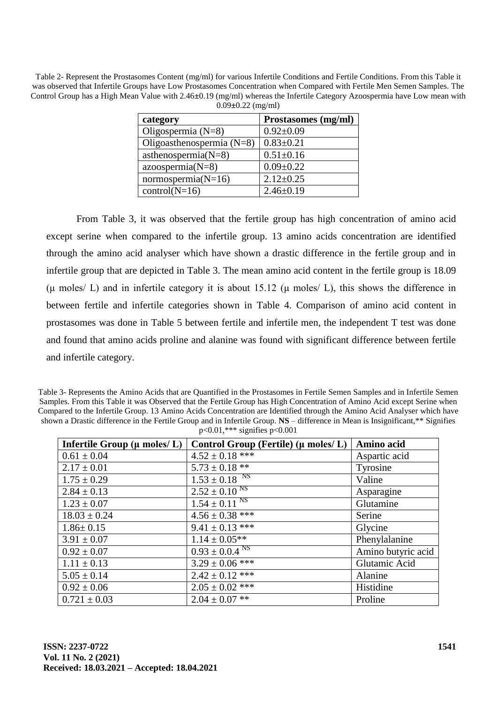Table 2- Represent the Prostasomes Content (mg/ml) for various Infertile Conditions and Fertile Conditions. From this Table it was observed that Infertile Groups have Low Prostasomes Concentration when Compared with Fertile Men Semen Samples. The Control Group has a High Mean Value with 2.46**±**0.19 (mg/ml) whereas the Infertile Category Azoospermia have Low mean with 0.09**±**0.22 (mg/ml)

| category                    | Prostasomes (mg/ml) |
|-----------------------------|---------------------|
| Oligospermia $(N=8)$        | $0.92 \pm 0.09$     |
| Oligoasthenospermia $(N=8)$ | $0.83 \pm 0.21$     |
| asthenospermia $(N=8)$      | $0.51 \pm 0.16$     |
| $azoospermia(N=8)$          | $0.09 \pm 0.22$     |
| $normospermia(N=16)$        | $2.12 \pm 0.25$     |
| $control(N=16)$             | $2.46\pm0.19$       |

From Table 3, it was observed that the fertile group has high concentration of amino acid except serine when compared to the infertile group. 13 amino acids concentration are identified through the amino acid analyser which have shown a drastic difference in the fertile group and in infertile group that are depicted in Table 3. The mean amino acid content in the fertile group is 18.09 (μ moles/ L) and in infertile category it is about 15.12 (μ moles/ L), this shows the difference in between fertile and infertile categories shown in Table 4. Comparison of amino acid content in prostasomes was done in Table 5 between fertile and infertile men, the independent T test was done and found that amino acids proline and alanine was found with significant difference between fertile and infertile category.

Table 3- Represents the Amino Acids that are Quantified in the Prostasomes in Fertile Semen Samples and in Infertile Semen Samples. From this Table it was Observed that the Fertile Group has High Concentration of Amino Acid except Serine when Compared to the Infertile Group. 13 Amino Acids Concentration are Identified through the Amino Acid Analyser which have shown a Drastic difference in the Fertile Group and in Infertile Group. **NS** – difference in Mean is Insignificant,\*\* Signifies p<0.01,\*\*\* signifies p<0.001

| Infertile Group $(\mu \text{ moles}/L)$ | Control Group (Fertile) ( $\mu$ moles/L) | Amino acid         |
|-----------------------------------------|------------------------------------------|--------------------|
| $0.61 \pm 0.04$                         | $4.52 \pm 0.18$ ***                      | Aspartic acid      |
| $2.17 \pm 0.01$                         | $5.73 \pm 0.18$ **                       | Tyrosine           |
| $1.75 \pm 0.29$                         | $1.53 \pm 0.18$ <sup>NS</sup>            | Valine             |
| $2.84 \pm 0.13$                         | $2.52 \pm 0.10^{N_S}$                    | Asparagine         |
| $1.23 \pm 0.07$                         | $1.54 \pm 0.11$ <sup>NS</sup>            | Glutamine          |
| $18.03 \pm 0.24$                        | $4.56 \pm 0.38$ ***                      | Serine             |
| $1.86 \pm 0.15$                         | $9.41 \pm 0.13$ ***                      | Glycine            |
| $3.91 \pm 0.07$                         | $1.14 \pm 0.05**$                        | Phenylalanine      |
| $0.92 \pm 0.07$                         | $0.93 \pm 0.04$ <sup>NS</sup>            | Amino butyric acid |
| $1.11 \pm 0.13$                         | $3.29 \pm 0.06$ ***                      | Glutamic Acid      |
| $5.05 \pm 0.14$                         | $2.42 \pm 0.12$ ***                      | Alanine            |
| $0.92 \pm 0.06$                         | $2.05 \pm 0.02$ ***                      | Histidine          |
| $0.721 \pm 0.03$                        | $2.04 \pm 0.07$ **                       | Proline            |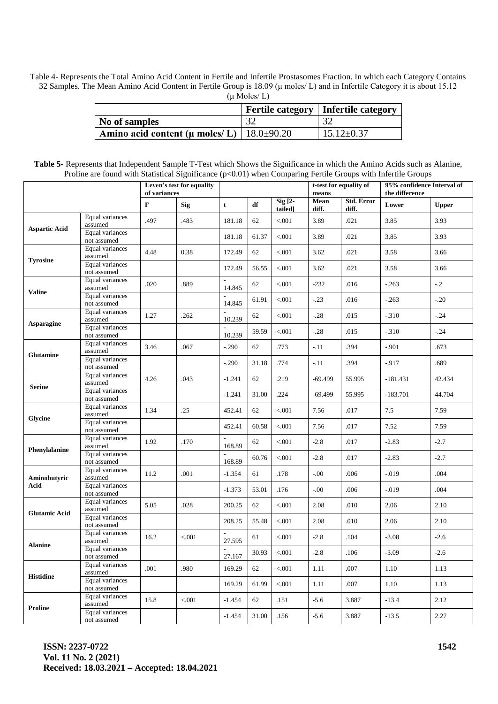Table 4- Represents the Total Amino Acid Content in Fertile and Infertile Prostasomes Fraction. In which each Category Contains 32 Samples. The Mean Amino Acid Content in Fertile Group is 18.09 (μ moles/ L) and in Infertile Category it is about 15.12  $(\mu \text{ Moles}/ L)$ 

|                                                  |     | Fertile category   Infertile category |
|--------------------------------------------------|-----|---------------------------------------|
| No of samples                                    | -20 | 32                                    |
| Amino acid content ( $\mu$ moles/L)   18.0±90.20 |     | $15.12 \pm 0.37$                      |

| Table 5- Represents that Independent Sample T-Test which Shows the Significance in which the Amino Acids such as Alanine, |
|---------------------------------------------------------------------------------------------------------------------------|
| Proline are found with Statistical Significance (p<0.01) when Comparing Fertile Groups with Infertile Groups              |

|                      |                                | Leven's test for equality<br>of variances |            |                                    |       |                    | t-test for equality of<br>means |                            | 95% confidence Interval of<br>the difference |              |
|----------------------|--------------------------------|-------------------------------------------|------------|------------------------------------|-------|--------------------|---------------------------------|----------------------------|----------------------------------------------|--------------|
|                      |                                | $\mathbf{F}$                              | <b>Sig</b> | t                                  | df    | Sig [2-<br>tailed] | Mean<br>diff.                   | <b>Std. Error</b><br>diff. | Lower                                        | <b>Upper</b> |
| <b>Aspartic Acid</b> | Equal variances<br>assumed     | .497                                      | .483       | 181.18                             | 62    | < .001             | 3.89                            | .021                       | 3.85                                         | 3.93         |
|                      | Equal variances<br>not assumed |                                           |            | 181.18                             | 61.37 | < .001             | 3.89                            | .021                       | 3.85                                         | 3.93         |
| <b>Tyrosine</b>      | Equal variances<br>assumed     | 4.48                                      | 0.38       | 172.49                             | 62    | < .001             | 3.62                            | .021                       | 3.58                                         | 3.66         |
|                      | Equal variances<br>not assumed |                                           |            | 172.49                             | 56.55 | < .001             | 3.62                            | .021                       | 3.58                                         | 3.66         |
| <b>Valine</b>        | Equal variances<br>assumed     | .020                                      | .889       | 14.845                             | 62    | < .001             | $-232$                          | .016                       | $-.263$                                      | $-.2$        |
|                      | Equal variances<br>not assumed |                                           |            | 14.845                             | 61.91 | < .001             | $-.23$                          | .016                       | $-.263$                                      | $-.20$       |
| Asparagine           | Equal variances<br>assumed     | 1.27                                      | .262       | 10.239                             | 62    | < .001             | $-.28$                          | .015                       | $-310$                                       | $-.24$       |
|                      | Equal variances<br>not assumed |                                           |            | 10.239                             | 59.59 | < .001             | $-.28$                          | .015                       | $-310$                                       | $-.24$       |
| <b>Glutamine</b>     | Equal variances<br>assumed     | 3.46                                      | .067       | $-.290$                            | 62    | .773               | $-.11$                          | .394                       | $-.901$                                      | .673         |
|                      | Equal variances<br>not assumed |                                           |            | $-.290$                            | 31.18 | .774               | $-11$                           | .394                       | $-.917$                                      | .689         |
| <b>Serine</b>        | Equal variances<br>assumed     | 4.26                                      | .043       | $-1.241$                           | 62    | .219               | $-69.499$                       | 55.995                     | $-181.431$                                   | 42.434       |
|                      | Equal variances<br>not assumed |                                           |            | -1.241                             | 31.00 | .224               | $-69.499$                       | 55.995                     | $-183.701$                                   | 44.704       |
| Glycine              | Equal variances<br>assumed     | 1.34                                      | .25        | 452.41                             | 62    | < .001             | 7.56                            | .017                       | 7.5                                          | 7.59         |
|                      | Equal variances<br>not assumed |                                           |            | 452.41                             | 60.58 | < .001             | 7.56                            | .017                       | 7.52                                         | 7.59         |
| Phenylalanine        | Equal variances<br>assumed     | 1.92                                      | .170       | 168.89                             | 62    | < .001             | $-2.8$                          | .017                       | $-2.83$                                      | $-2.7$       |
|                      | Equal variances<br>not assumed |                                           |            | 168.89                             | 60.76 | < .001             | $-2.8$                          | .017                       | $-2.83$                                      | $-2.7$       |
| Aminobutyric<br>Acid | Equal variances<br>assumed     | 11.2                                      | .001       | $-1.354$                           | 61    | .178               | $-0.00$                         | .006                       | $-0.019$                                     | .004         |
|                      | Equal variances<br>not assumed |                                           |            | $-1.373$                           | 53.01 | .176               | $-.00$                          | .006                       | $-0.019$                                     | .004         |
| <b>Glutamic Acid</b> | Equal variances<br>assumed     | 5.05                                      | .028       | 200.25                             | 62    | < .001             | 2.08                            | .010                       | 2.06                                         | 2.10         |
|                      | Equal variances<br>not assumed |                                           |            | 208.25                             | 55.48 | < .001             | 2.08                            | .010                       | 2.06                                         | 2.10         |
| <b>Alanine</b>       | Equal variances<br>assumed     | 16.2                                      | $< 001$    | 27.595                             | 61    | < .001             | $-2.8$                          | .104                       | $-3.08$                                      | $-2.6$       |
|                      | Equal variances<br>not assumed |                                           |            | $\overline{\phantom{a}}$<br>27.167 | 30.93 | < .001             | $-2.8$                          | .106                       | $-3.09$                                      | $-2.6$       |
| <b>Histidine</b>     | Equal variances<br>assumed     | .001                                      | .980       | 169.29                             | 62    | < .001             | 1.11                            | .007                       | 1.10                                         | 1.13         |
|                      | Equal variances<br>not assumed |                                           |            | 169.29                             | 61.99 | < 0.001            | 1.11                            | .007                       | 1.10                                         | 1.13         |
| Proline              | Equal variances<br>assumed     | 15.8                                      | $< 001$    | $-1.454$                           | 62    | .151               | $-5.6$                          | 3.887                      | $-13.4$                                      | 2.12         |
|                      | Equal variances<br>not assumed |                                           |            | $-1.454$                           | 31.00 | .156               | $-5.6$                          | 3.887                      | $-13.5$                                      | 2.27         |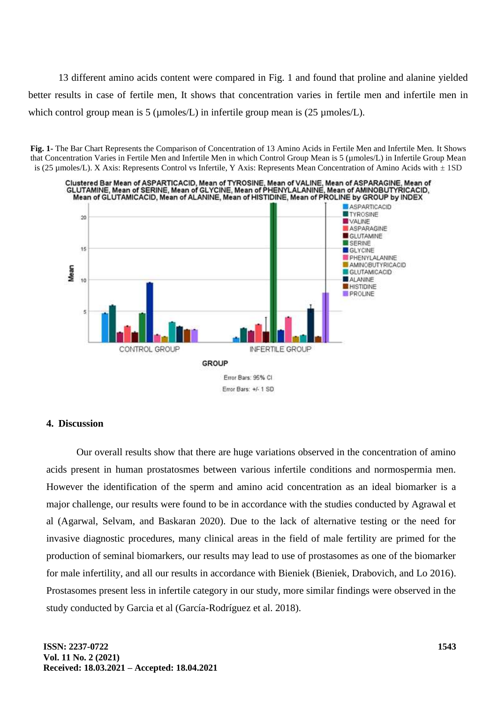13 different amino acids content were compared in Fig. 1 and found that proline and alanine yielded better results in case of fertile men, It shows that concentration varies in fertile men and infertile men in which control group mean is 5 ( $\mu$ moles/L) in infertile group mean is (25  $\mu$ moles/L).





## **4. Discussion**

Our overall results show that there are huge variations observed in the concentration of amino acids present in human prostatosmes between various infertile conditions and normospermia men. However the identification of the sperm and amino acid concentration as an ideal biomarker is a major challenge, our results were found to be in accordance with the studies conducted by Agrawal et al (Agarwal, Selvam, and Baskaran 2020). Due to the lack of alternative testing or the need for invasive diagnostic procedures, many clinical areas in the field of male fertility are primed for the production of seminal biomarkers, our results may lead to use of prostasomes as one of the biomarker for male infertility, and all our results in accordance with Bieniek (Bieniek, Drabovich, and Lo 2016). Prostasomes present less in infertile category in our study, more similar findings were observed in the study conducted by Garcia et al (García-Rodríguez et al. 2018).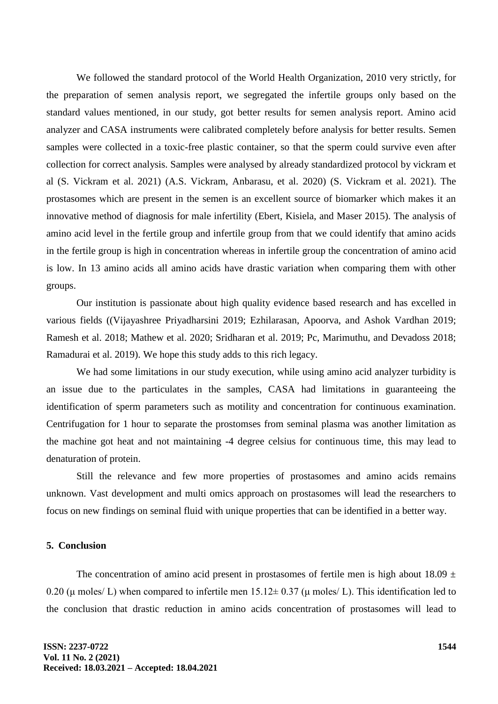We followed the standard protocol of the World Health Organization, 2010 very strictly, for the preparation of semen analysis report, we segregated the infertile groups only based on the standard values mentioned, in our study, got better results for semen analysis report. Amino acid analyzer and CASA instruments were calibrated completely before analysis for better results. Semen samples were collected in a toxic-free plastic container, so that the sperm could survive even after collection for correct analysis. Samples were analysed by already standardized protocol by vickram et al (S. Vickram et al. 2021) (A.S. Vickram, Anbarasu, et al. 2020) (S. Vickram et al. 2021). The prostasomes which are present in the semen is an excellent source of biomarker which makes it an innovative method of diagnosis for male infertility (Ebert, Kisiela, and Maser 2015). The analysis of amino acid level in the fertile group and infertile group from that we could identify that amino acids in the fertile group is high in concentration whereas in infertile group the concentration of amino acid is low. In 13 amino acids all amino acids have drastic variation when comparing them with other groups.

Our institution is passionate about high quality evidence based research and has excelled in various fields ((Vijayashree Priyadharsini 2019; Ezhilarasan, Apoorva, and Ashok Vardhan 2019; Ramesh et al. 2018; Mathew et al. 2020; Sridharan et al. 2019; Pc, Marimuthu, and Devadoss 2018; Ramadurai et al. 2019). We hope this study adds to this rich legacy.

We had some limitations in our study execution, while using amino acid analyzer turbidity is an issue due to the particulates in the samples, CASA had limitations in guaranteeing the identification of sperm parameters such as motility and concentration for continuous examination. Centrifugation for 1 hour to separate the prostomses from seminal plasma was another limitation as the machine got heat and not maintaining -4 degree celsius for continuous time, this may lead to denaturation of protein.

Still the relevance and few more properties of prostasomes and amino acids remains unknown. Vast development and multi omics approach on prostasomes will lead the researchers to focus on new findings on seminal fluid with unique properties that can be identified in a better way.

#### **5. Conclusion**

The concentration of amino acid present in prostasomes of fertile men is high about 18.09  $\pm$ 0.20 (μ moles/ L) when compared to infertile men  $15.12 \pm 0.37$  (μ moles/ L). This identification led to the conclusion that drastic reduction in amino acids concentration of prostasomes will lead to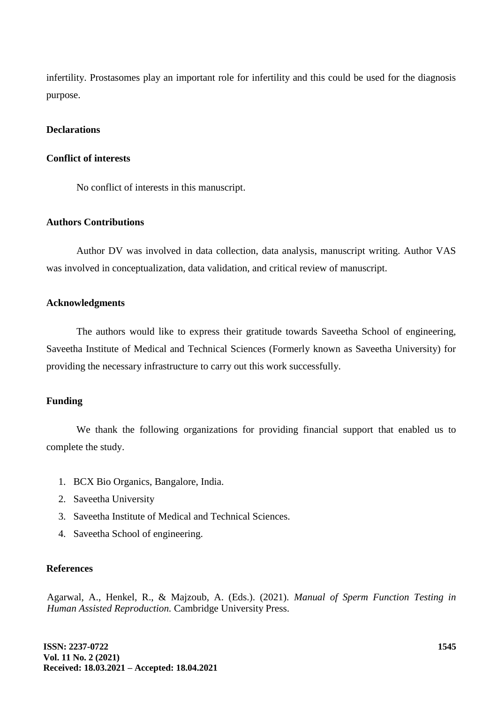infertility. Prostasomes play an important role for infertility and this could be used for the diagnosis purpose.

### **Declarations**

#### **Conflict of interests**

No conflict of interests in this manuscript.

### **Authors Contributions**

Author DV was involved in data collection, data analysis, manuscript writing. Author VAS was involved in conceptualization, data validation, and critical review of manuscript.

#### **Acknowledgments**

The authors would like to express their gratitude towards Saveetha School of engineering, Saveetha Institute of Medical and Technical Sciences (Formerly known as Saveetha University) for providing the necessary infrastructure to carry out this work successfully.

### **Funding**

We thank the following organizations for providing financial support that enabled us to complete the study.

- 1. BCX Bio Organics, Bangalore, India.
- 2. Saveetha University
- 3. Saveetha Institute of Medical and Technical Sciences.
- 4. Saveetha School of engineering.

#### **References**

Agarwal, A., Henkel, R., & Majzoub, A. (Eds.). (2021). *Manual of Sperm Function Testing in Human Assisted Reproduction.* Cambridge University Press.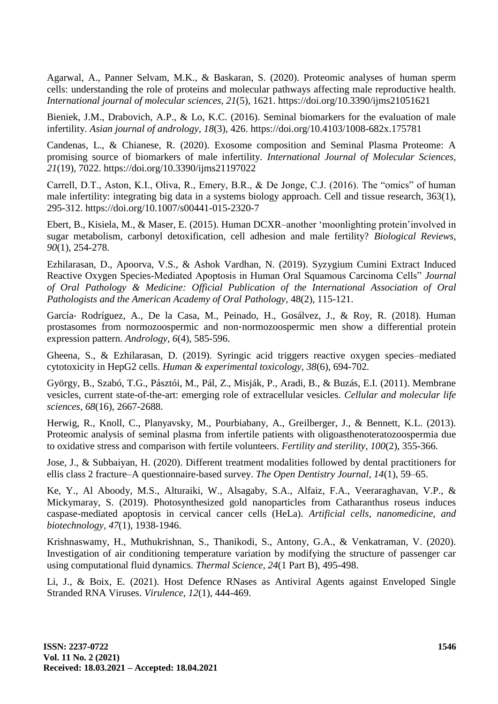Agarwal, A., Panner Selvam, M.K., & Baskaran, S. (2020). Proteomic analyses of human sperm cells: understanding the role of proteins and molecular pathways affecting male reproductive health. *International journal of molecular sciences, 21*(5), 1621. https://doi.org/10.3390/ijms21051621

Bieniek, J.M., Drabovich, A.P., & Lo, K.C. (2016). Seminal biomarkers for the evaluation of male infertility. *Asian journal of andrology, 18*(3), 426. https://doi.org/10.4103/1008-682x.175781

Candenas, L., & Chianese, R. (2020). Exosome composition and Seminal Plasma Proteome: A promising source of biomarkers of male infertility. *International Journal of Molecular Sciences, 21*(19), 7022. https://doi.org/10.3390/ijms21197022

Carrell, D.T., Aston, K.I., Oliva, R., Emery, B.R., & De Jonge, C.J. (2016). The "omics" of human male infertility: integrating big data in a systems biology approach. Cell and tissue research, 363(1), 295-312. https://doi.org/10.1007/s00441-015-2320-7

Ebert, B., Kisiela, M., & Maser, E. (2015). Human DCXR–another "moonlighting protein"involved in sugar metabolism, carbonyl detoxification, cell adhesion and male fertility? *Biological Reviews, 90*(1), 254-278.

Ezhilarasan, D., Apoorva, V.S., & Ashok Vardhan, N. (2019). Syzygium Cumini Extract Induced Reactive Oxygen Species-Mediated Apoptosis in Human Oral Squamous Carcinoma Cells" *Journal of Oral Pathology & Medicine: Official Publication of the International Association of Oral Pathologists and the American Academy of Oral Pathology,* 48(2), 115-121.

García‐ Rodríguez, A., De la Casa, M., Peinado, H., Gosálvez, J., & Roy, R. (2018). Human prostasomes from normozoospermic and non‐normozoospermic men show a differential protein expression pattern. *Andrology, 6*(4), 585-596.

Gheena, S., & Ezhilarasan, D. (2019). Syringic acid triggers reactive oxygen species–mediated cytotoxicity in HepG2 cells. *Human & experimental toxicology, 38*(6), 694-702.

György, B., Szabó, T.G., Pásztói, M., Pál, Z., Misják, P., Aradi, B., & Buzás, E.I. (2011). Membrane vesicles, current state-of-the-art: emerging role of extracellular vesicles. *Cellular and molecular life sciences, 68*(16), 2667-2688.

Herwig, R., Knoll, C., Planyavsky, M., Pourbiabany, A., Greilberger, J., & Bennett, K.L. (2013). Proteomic analysis of seminal plasma from infertile patients with oligoasthenoteratozoospermia due to oxidative stress and comparison with fertile volunteers. *Fertility and sterility, 100*(2), 355-366.

Jose, J., & Subbaiyan, H. (2020). Different treatment modalities followed by dental practitioners for ellis class 2 fracture–A questionnaire-based survey. *The Open Dentistry Journal, 14*(1), 59–65.

Ke, Y., Al Aboody, M.S., Alturaiki, W., Alsagaby, S.A., Alfaiz, F.A., Veeraraghavan, V.P., & Mickymaray, S. (2019). Photosynthesized gold nanoparticles from Catharanthus roseus induces caspase-mediated apoptosis in cervical cancer cells (HeLa). *Artificial cells, nanomedicine, and biotechnology, 47*(1), 1938-1946.

Krishnaswamy, H., Muthukrishnan, S., Thanikodi, S., Antony, G.A., & Venkatraman, V. (2020). Investigation of air conditioning temperature variation by modifying the structure of passenger car using computational fluid dynamics. *Thermal Science, 24*(1 Part B), 495-498.

Li, J., & Boix, E. (2021). Host Defence RNases as Antiviral Agents against Enveloped Single Stranded RNA Viruses. *Virulence, 12*(1), 444-469.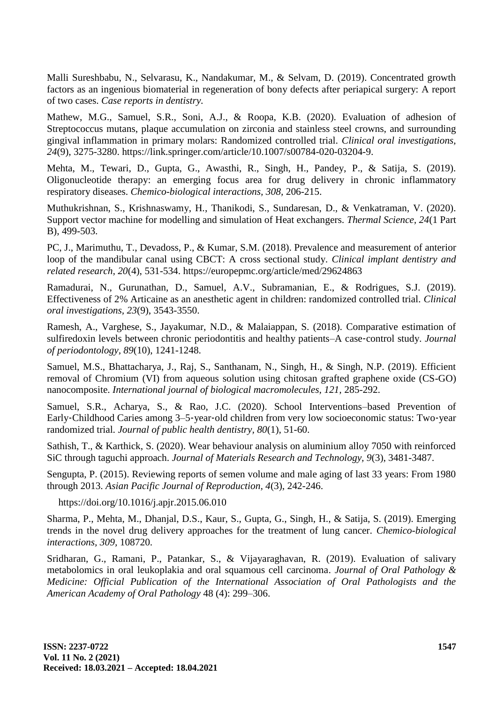Malli Sureshbabu, N., Selvarasu, K., Nandakumar, M., & Selvam, D. (2019). Concentrated growth factors as an ingenious biomaterial in regeneration of bony defects after periapical surgery: A report of two cases. *Case reports in dentistry.*

Mathew, M.G., Samuel, S.R., Soni, A.J., & Roopa, K.B. (2020). Evaluation of adhesion of Streptococcus mutans, plaque accumulation on zirconia and stainless steel crowns, and surrounding gingival inflammation in primary molars: Randomized controlled trial. *Clinical oral investigations, 24*(9), 3275-3280. https://link.springer.com/article/10.1007/s00784-020-03204-9.

Mehta, M., Tewari, D., Gupta, G., Awasthi, R., Singh, H., Pandey, P., & Satija, S. (2019). Oligonucleotide therapy: an emerging focus area for drug delivery in chronic inflammatory respiratory diseases. *Chemico-biological interactions, 308,* 206-215.

Muthukrishnan, S., Krishnaswamy, H., Thanikodi, S., Sundaresan, D., & Venkatraman, V. (2020). Support vector machine for modelling and simulation of Heat exchangers. *Thermal Science, 24*(1 Part B), 499-503.

PC, J., Marimuthu, T., Devadoss, P., & Kumar, S.M. (2018). Prevalence and measurement of anterior loop of the mandibular canal using CBCT: A cross sectional study. *Clinical implant dentistry and related research, 20*(4), 531-534. https://europepmc.org/article/med/29624863

Ramadurai, N., Gurunathan, D., Samuel, A.V., Subramanian, E., & Rodrigues, S.J. (2019). Effectiveness of 2% Articaine as an anesthetic agent in children: randomized controlled trial. *Clinical oral investigations, 23*(9), 3543-3550.

Ramesh, A., Varghese, S., Jayakumar, N.D., & Malaiappan, S. (2018). Comparative estimation of sulfiredoxin levels between chronic periodontitis and healthy patients–A case-control study. *Journal of periodontology, 89*(10), 1241-1248.

Samuel, M.S., Bhattacharya, J., Raj, S., Santhanam, N., Singh, H., & Singh, N.P. (2019). Efficient removal of Chromium (VI) from aqueous solution using chitosan grafted graphene oxide (CS-GO) nanocomposite. *International journal of biological macromolecules, 121,* 285-292.

Samuel, S.R., Acharya, S., & Rao, J.C. (2020). School Interventions–based Prevention of Early-Childhood Caries among 3–5-year-old children from very low socioeconomic status: Two-year randomized trial. *Journal of public health dentistry, 80*(1), 51-60.

Sathish, T., & Karthick, S. (2020). Wear behaviour analysis on aluminium alloy 7050 with reinforced SiC through taguchi approach. *Journal of Materials Research and Technology, 9*(3), 3481-3487.

Sengupta, P. (2015). Reviewing reports of semen volume and male aging of last 33 years: From 1980 through 2013. *Asian Pacific Journal of Reproduction, 4*(3), 242-246.

https://doi.org/10.1016/j.apjr.2015.06.010

Sharma, P., Mehta, M., Dhanjal, D.S., Kaur, S., Gupta, G., Singh, H., & Satija, S. (2019). Emerging trends in the novel drug delivery approaches for the treatment of lung cancer. *Chemico-biological interactions, 309,* 108720.

Sridharan, G., Ramani, P., Patankar, S., & Vijayaraghavan, R. (2019). Evaluation of salivary metabolomics in oral leukoplakia and oral squamous cell carcinoma. *Journal of Oral Pathology & Medicine: Official Publication of the International Association of Oral Pathologists and the American Academy of Oral Pathology* 48 (4): 299–306.